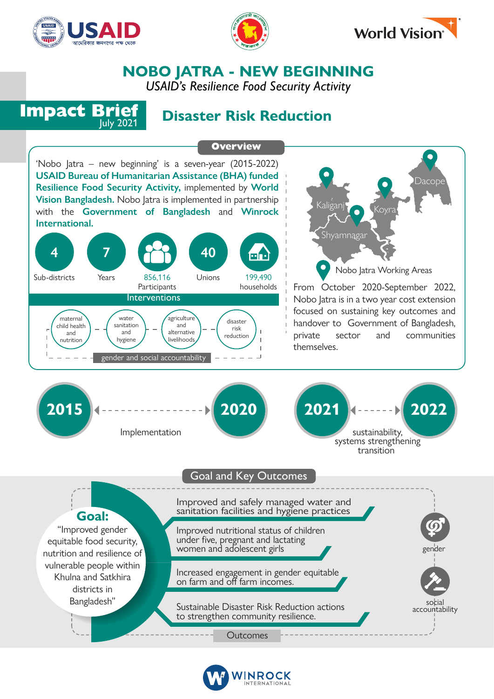





## **NOBO JATRA - NEW BEGINNING**

*USAID's Resilience Food Security Activity*